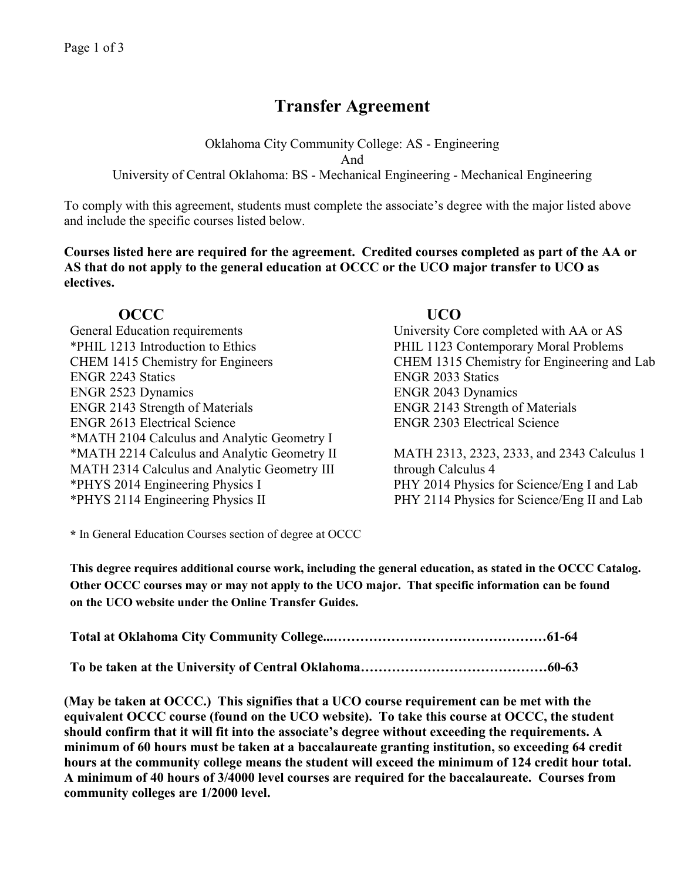# **Transfer Agreement**

Oklahoma City Community College: AS - Engineering And University of Central Oklahoma: BS - Mechanical Engineering - Mechanical Engineering

To comply with this agreement, students must complete the associate's degree with the major listed above and include the specific courses listed below.

**Courses listed here are required for the agreement. Credited courses completed as part of the AA or AS that do not apply to the general education at OCCC or the UCO major transfer to UCO as electives.**

## **OCCC UCO**

General Education requirements University Core completed with AA or AS \*PHIL 1213 Introduction to Ethics PHIL 1123 Contemporary Moral Problems CHEM 1415 Chemistry for Engineers CHEM 1315 Chemistry for Engineering and Lab ENGR 2243 Statics ENGR 2033 Statics ENGR 2523 Dynamics ENGR 2043 Dynamics ENGR 2143 Strength of Materials<br>
ENGR 2143 Strength of Materials<br>
ENGR 2303 Electrical Science<br>
ENGR 2303 Electrical Science ENGR 2613 Electrical Science \*MATH 2104 Calculus and Analytic Geometry I \*MATH 2214 Calculus and Analytic Geometry II MATH 2313, 2323, 2333, and 2343 Calculus 1 MATH 2314 Calculus and Analytic Geometry III through Calculus 4 \*PHYS 2014 Engineering Physics I PHY 2014 Physics for Science/Eng I and Lab

\*PHYS 2114 Engineering Physics IIPHY 2114 Physics for Science/Eng II and Lab

**\*** In General Education Courses section of degree at OCCC

**This degree requires additional course work, including the general education, as stated in the OCCC Catalog. Other OCCC courses may or may not apply to the UCO major. That specific information can be found on the UCO website under the Online Transfer Guides.** 

**To be taken at the University of Central Oklahoma……………………………………60-63**

**(May be taken at OCCC.) This signifies that a UCO course requirement can be met with the equivalent OCCC course (found on the UCO website). To take this course at OCCC, the student should confirm that it will fit into the associate's degree without exceeding the requirements. A minimum of 60 hours must be taken at a baccalaureate granting institution, so exceeding 64 credit hours at the community college means the student will exceed the minimum of 124 credit hour total. A minimum of 40 hours of 3/4000 level courses are required for the baccalaureate. Courses from community colleges are 1/2000 level.**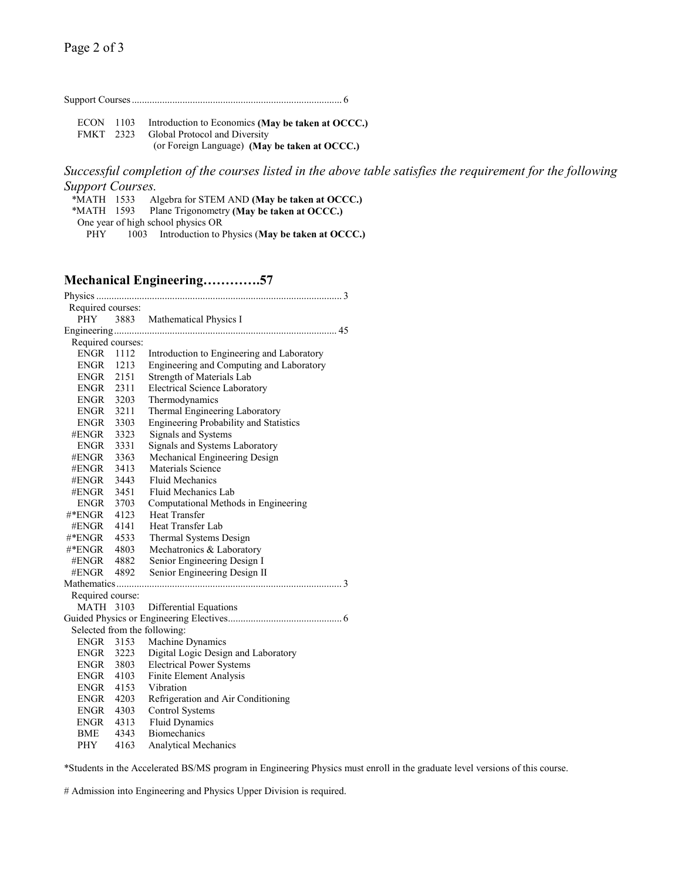|--|--|

ECON 1103 Introduction to Economics **(May be taken at OCCC.)** Global Protocol and Diversity (or Foreign Language) **(May be taken at OCCC.)**

*Successful completion of the courses listed in the above table satisfies the requirement for the following Support Courses.*

 \*MATH 1533 Algebra for STEM AND **(May be taken at OCCC.)** Plane Trigonometry **(May be taken at OCCC.)** One year of high school physics OR

PHY 1003 Introduction to Physics (**May be taken at OCCC.)**

### **Mechanical Engineering………….57**

| Required courses:            |      |                                               |  |
|------------------------------|------|-----------------------------------------------|--|
| <b>PHY</b>                   |      | 3883 Mathematical Physics I                   |  |
|                              |      |                                               |  |
| Required courses:            |      |                                               |  |
| <b>ENGR</b>                  | 1112 | Introduction to Engineering and Laboratory    |  |
| ENGR                         | 1213 | Engineering and Computing and Laboratory      |  |
| ENGR 2151                    |      | Strength of Materials Lab                     |  |
| ENGR 2311                    |      | <b>Electrical Science Laboratory</b>          |  |
| ENGR 3203                    |      | Thermodynamics                                |  |
| ENGR 3211                    |      | Thermal Engineering Laboratory                |  |
| ENGR 3303                    |      | <b>Engineering Probability and Statistics</b> |  |
| #ENGR                        | 3323 | Signals and Systems                           |  |
| <b>ENGR</b>                  | 3331 | Signals and Systems Laboratory                |  |
| #ENGR                        | 3363 | Mechanical Engineering Design                 |  |
| #ENGR                        | 3413 | Materials Science                             |  |
| #ENGR                        | 3443 | <b>Fluid Mechanics</b>                        |  |
| #ENGR                        | 3451 | Fluid Mechanics Lab                           |  |
| ENGR 3703                    |      | Computational Methods in Engineering          |  |
| #*ENGR                       | 4123 | <b>Heat Transfer</b>                          |  |
| #ENGR                        | 4141 | <b>Heat Transfer Lab</b>                      |  |
| #*ENGR 4533                  |      | Thermal Systems Design                        |  |
| #*ENGR 4803                  |      | Mechatronics & Laboratory                     |  |
| #ENGR 4882                   |      | Senior Engineering Design I                   |  |
| #ENGR                        | 4892 | Senior Engineering Design II                  |  |
|                              |      |                                               |  |
| Required course:             |      |                                               |  |
| <b>MATH 3103</b>             |      | <b>Differential Equations</b>                 |  |
|                              |      |                                               |  |
| Selected from the following: |      |                                               |  |
| <b>ENGR</b>                  | 3153 | Machine Dynamics                              |  |
| <b>ENGR</b>                  | 3223 | Digital Logic Design and Laboratory           |  |
| ENGR                         | 3803 | <b>Electrical Power Systems</b>               |  |
| ENGR 4103                    |      | Finite Element Analysis                       |  |
| ENGR 4153                    |      | Vibration                                     |  |
| ENGR 4203                    |      | Refrigeration and Air Conditioning            |  |
| ENGR 4303                    |      | <b>Control Systems</b>                        |  |
| ENGR                         | 4313 | <b>Fluid Dynamics</b>                         |  |
| BME                          | 4343 | <b>Biomechanics</b>                           |  |
| PHY                          | 4163 | <b>Analytical Mechanics</b>                   |  |

\*Students in the Accelerated BS/MS program in Engineering Physics must enroll in the graduate level versions of this course.

# Admission into Engineering and Physics Upper Division is required.